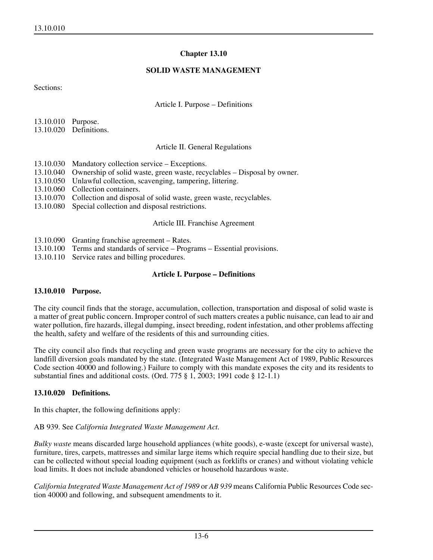### **Chapter 13.10**

### **SOLID WASTE MANAGEMENT**

Sections:

Article I. Purpose – Definitions

| 13.10.010 Purpose. |                        |
|--------------------|------------------------|
|                    | 13.10.020 Definitions. |

### Article II. General Regulations

- 13.10.030 Mandatory collection service Exceptions.
- 13.10.040 Ownership of solid waste, green waste, recyclables Disposal by owner.
- 13.10.050 Unlawful collection, scavenging, tampering, littering.
- 13.10.060 Collection containers.
- 13.10.070 Collection and disposal of solid waste, green waste, recyclables.
- 13.10.080 Special collection and disposal restrictions.

## Article III. Franchise Agreement

- 13.10.090 Granting franchise agreement Rates.
- 13.10.100 Terms and standards of service Programs Essential provisions.
- 13.10.110 Service rates and billing procedures.

## **Article I. Purpose – Definitions**

### **13.10.010 Purpose.**

The city council finds that the storage, accumulation, collection, transportation and disposal of solid waste is a matter of great public concern. Improper control of such matters creates a public nuisance, can lead to air and water pollution, fire hazards, illegal dumping, insect breeding, rodent infestation, and other problems affecting the health, safety and welfare of the residents of this and surrounding cities.

The city council also finds that recycling and green waste programs are necessary for the city to achieve the landfill diversion goals mandated by the state. (Integrated Waste Management Act of 1989, Public Resources Code section 40000 and following.) Failure to comply with this mandate exposes the city and its residents to substantial fines and additional costs. (Ord. 775 § 1, 2003; 1991 code § 12-1.1)

# **13.10.020 Definitions.**

In this chapter, the following definitions apply:

### AB 939. See *California Integrated Waste Management Act.*

*Bulky waste* means discarded large household appliances (white goods), e-waste (except for universal waste), furniture, tires, carpets, mattresses and similar large items which require special handling due to their size, but can be collected without special loading equipment (such as forklifts or cranes) and without violating vehicle load limits. It does not include abandoned vehicles or household hazardous waste.

*California Integrated Waste Management Act of 1989* or *AB 939* means California Public Resources Code section 40000 and following, and subsequent amendments to it.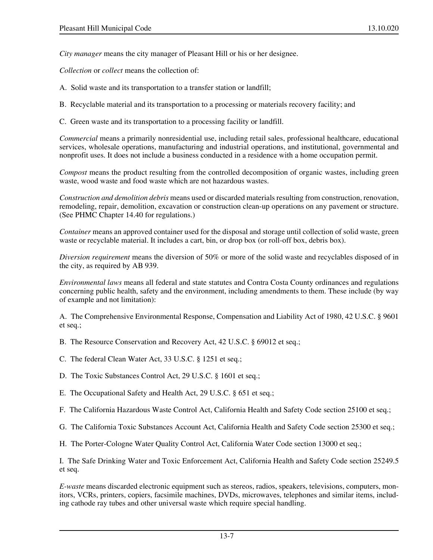*City manager* means the city manager of Pleasant Hill or his or her designee.

*Collection* or *collect* means the collection of:

- A. Solid waste and its transportation to a transfer station or landfill;
- B. Recyclable material and its transportation to a processing or materials recovery facility; and
- C. Green waste and its transportation to a processing facility or landfill.

*Commercial* means a primarily nonresidential use, including retail sales, professional healthcare, educational services, wholesale operations, manufacturing and industrial operations, and institutional, governmental and nonprofit uses. It does not include a business conducted in a residence with a home occupation permit.

*Compost* means the product resulting from the controlled decomposition of organic wastes, including green waste, wood waste and food waste which are not hazardous wastes.

*Construction and demolition debris* means used or discarded materials resulting from construction, renovation, remodeling, repair, demolition, excavation or construction clean-up operations on any pavement or structure. (See PHMC Chapter 14.40 for regulations.)

*Container* means an approved container used for the disposal and storage until collection of solid waste, green waste or recyclable material. It includes a cart, bin, or drop box (or roll-off box, debris box).

*Diversion requirement* means the diversion of 50% or more of the solid waste and recyclables disposed of in the city, as required by AB 939.

*Environmental laws* means all federal and state statutes and Contra Costa County ordinances and regulations concerning public health, safety and the environment, including amendments to them. These include (by way of example and not limitation):

A. The Comprehensive Environmental Response, Compensation and Liability Act of 1980, 42 U.S.C. § 9601 et seq.;

B. The Resource Conservation and Recovery Act, 42 U.S.C. § 69012 et seq.;

- C. The federal Clean Water Act, 33 U.S.C. § 1251 et seq.;
- D. The Toxic Substances Control Act, 29 U.S.C. § 1601 et seq.;
- E. The Occupational Safety and Health Act, 29 U.S.C. § 651 et seq.;
- F. The California Hazardous Waste Control Act, California Health and Safety Code section 25100 et seq.;
- G. The California Toxic Substances Account Act, California Health and Safety Code section 25300 et seq.;

H. The Porter-Cologne Water Quality Control Act, California Water Code section 13000 et seq.;

I. The Safe Drinking Water and Toxic Enforcement Act, California Health and Safety Code section 25249.5 et seq.

*E-waste* means discarded electronic equipment such as stereos, radios, speakers, televisions, computers, monitors, VCRs, printers, copiers, facsimile machines, DVDs, microwaves, telephones and similar items, including cathode ray tubes and other universal waste which require special handling.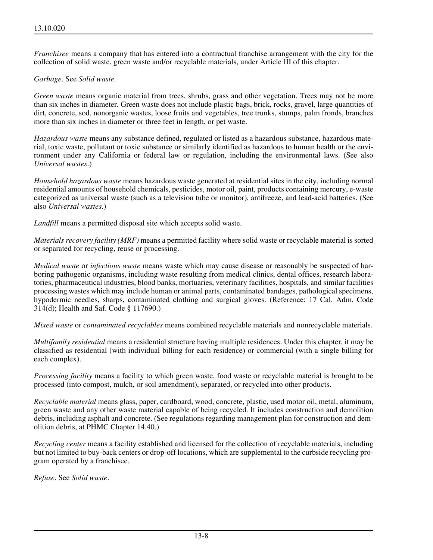*Franchisee* means a company that has entered into a contractual franchise arrangement with the city for the collection of solid waste, green waste and/or recyclable materials, under Article III of this chapter.

### *Garbage*. See *Solid waste*.

*Green waste* means organic material from trees, shrubs, grass and other vegetation. Trees may not be more than six inches in diameter. Green waste does not include plastic bags, brick, rocks, gravel, large quantities of dirt, concrete, sod, nonorganic wastes, loose fruits and vegetables, tree trunks, stumps, palm fronds, branches more than six inches in diameter or three feet in length, or pet waste.

*Hazardous waste* means any substance defined, regulated or listed as a hazardous substance, hazardous material, toxic waste, pollutant or toxic substance or similarly identified as hazardous to human health or the environment under any California or federal law or regulation, including the environmental laws. (See also *Universal wastes*.)

*Household hazardous waste* means hazardous waste generated at residential sites in the city, including normal residential amounts of household chemicals, pesticides, motor oil, paint, products containing mercury, e-waste categorized as universal waste (such as a television tube or monitor), antifreeze, and lead-acid batteries. (See also *Universal wastes*.)

*Landfill* means a permitted disposal site which accepts solid waste.

*Materials recovery facility (MRF)* means a permitted facility where solid waste or recyclable material is sorted or separated for recycling, reuse or processing.

*Medical waste* or *infectious waste* means waste which may cause disease or reasonably be suspected of harboring pathogenic organisms, including waste resulting from medical clinics, dental offices, research laboratories, pharmaceutical industries, blood banks, mortuaries, veterinary facilities, hospitals, and similar facilities processing wastes which may include human or animal parts, contaminated bandages, pathological specimens, hypodermic needles, sharps, contaminated clothing and surgical gloves. (Reference: 17 Cal. Adm. Code 314(d); Health and Saf. Code § 117690.)

*Mixed waste* or *contaminated recyclables* means combined recyclable materials and nonrecyclable materials.

*Multifamily residential* means a residential structure having multiple residences. Under this chapter, it may be classified as residential (with individual billing for each residence) or commercial (with a single billing for each complex).

*Processing facility* means a facility to which green waste, food waste or recyclable material is brought to be processed (into compost, mulch, or soil amendment), separated, or recycled into other products.

*Recyclable material* means glass, paper, cardboard, wood, concrete, plastic, used motor oil, metal, aluminum, green waste and any other waste material capable of being recycled. It includes construction and demolition debris, including asphalt and concrete. (See regulations regarding management plan for construction and demolition debris, at PHMC Chapter 14.40.)

*Recycling center* means a facility established and licensed for the collection of recyclable materials, including but not limited to buy-back centers or drop-off locations, which are supplemental to the curbside recycling program operated by a franchisee.

*Refuse*. See *Solid waste*.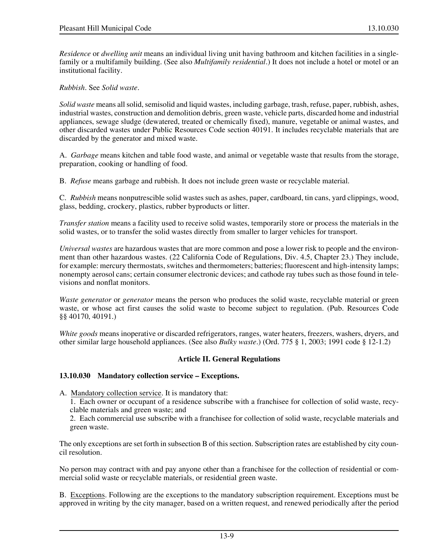*Residence* or *dwelling unit* means an individual living unit having bathroom and kitchen facilities in a singlefamily or a multifamily building. (See also *Multifamily residential*.) It does not include a hotel or motel or an institutional facility.

*Rubbish*. See *Solid waste*.

*Solid waste* means all solid, semisolid and liquid wastes, including garbage, trash, refuse, paper, rubbish, ashes, industrial wastes, construction and demolition debris, green waste, vehicle parts, discarded home and industrial appliances, sewage sludge (dewatered, treated or chemically fixed), manure, vegetable or animal wastes, and other discarded wastes under Public Resources Code section 40191. It includes recyclable materials that are discarded by the generator and mixed waste.

A. *Garbage* means kitchen and table food waste, and animal or vegetable waste that results from the storage, preparation, cooking or handling of food.

B. *Refuse* means garbage and rubbish. It does not include green waste or recyclable material.

C. *Rubbish* means nonputrescible solid wastes such as ashes, paper, cardboard, tin cans, yard clippings, wood, glass, bedding, crockery, plastics, rubber byproducts or litter.

*Transfer station* means a facility used to receive solid wastes, temporarily store or process the materials in the solid wastes, or to transfer the solid wastes directly from smaller to larger vehicles for transport.

*Universal wastes* are hazardous wastes that are more common and pose a lower risk to people and the environment than other hazardous wastes. (22 California Code of Regulations, Div. 4.5, Chapter 23.) They include, for example: mercury thermostats, switches and thermometers; batteries; fluorescent and high-intensity lamps; nonempty aerosol cans; certain consumer electronic devices; and cathode ray tubes such as those found in televisions and nonflat monitors.

*Waste generator* or *generator* means the person who produces the solid waste, recyclable material or green waste, or whose act first causes the solid waste to become subject to regulation. (Pub. Resources Code §§ 40170, 40191.)

*White goods* means inoperative or discarded refrigerators, ranges, water heaters, freezers, washers, dryers, and other similar large household appliances. (See also *Bulky waste*.) (Ord. 775 § 1, 2003; 1991 code § 12-1.2)

# **Article II. General Regulations**

### **13.10.030 Mandatory collection service – Exceptions.**

- A. Mandatory collection service. It is mandatory that:
	- 1. Each owner or occupant of a residence subscribe with a franchisee for collection of solid waste, recyclable materials and green waste; and
	- 2. Each commercial use subscribe with a franchisee for collection of solid waste, recyclable materials and green waste.

The only exceptions are set forth in subsection B of this section. Subscription rates are established by city council resolution.

No person may contract with and pay anyone other than a franchisee for the collection of residential or commercial solid waste or recyclable materials, or residential green waste.

B. Exceptions. Following are the exceptions to the mandatory subscription requirement. Exceptions must be approved in writing by the city manager, based on a written request, and renewed periodically after the period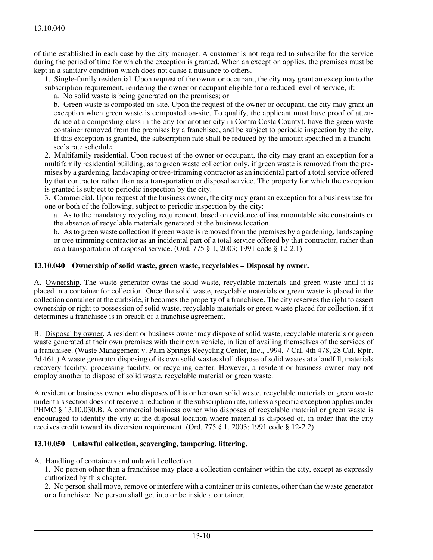of time established in each case by the city manager. A customer is not required to subscribe for the service during the period of time for which the exception is granted. When an exception applies, the premises must be kept in a sanitary condition which does not cause a nuisance to others.

1. Single-family residential. Upon request of the owner or occupant, the city may grant an exception to the subscription requirement, rendering the owner or occupant eligible for a reduced level of service, if:

a. No solid waste is being generated on the premises; or

b. Green waste is composted on-site. Upon the request of the owner or occupant, the city may grant an exception when green waste is composted on-site. To qualify, the applicant must have proof of attendance at a composting class in the city (or another city in Contra Costa County), have the green waste container removed from the premises by a franchisee, and be subject to periodic inspection by the city. If this exception is granted, the subscription rate shall be reduced by the amount specified in a franchisee's rate schedule.

2. Multifamily residential. Upon request of the owner or occupant, the city may grant an exception for a multifamily residential building, as to green waste collection only, if green waste is removed from the premises by a gardening, landscaping or tree-trimming contractor as an incidental part of a total service offered by that contractor rather than as a transportation or disposal service. The property for which the exception is granted is subject to periodic inspection by the city.

3. Commercial. Upon request of the business owner, the city may grant an exception for a business use for one or both of the following, subject to periodic inspection by the city:

a. As to the mandatory recycling requirement, based on evidence of insurmountable site constraints or the absence of recyclable materials generated at the business location.

b. As to green waste collection if green waste is removed from the premises by a gardening, landscaping or tree trimming contractor as an incidental part of a total service offered by that contractor, rather than as a transportation of disposal service. (Ord. 775 § 1, 2003; 1991 code § 12-2.1)

### **13.10.040 Ownership of solid waste, green waste, recyclables – Disposal by owner.**

A. Ownership. The waste generator owns the solid waste, recyclable materials and green waste until it is placed in a container for collection. Once the solid waste, recyclable materials or green waste is placed in the collection container at the curbside, it becomes the property of a franchisee. The city reserves the right to assert ownership or right to possession of solid waste, recyclable materials or green waste placed for collection, if it determines a franchisee is in breach of a franchise agreement.

B. Disposal by owner. A resident or business owner may dispose of solid waste, recyclable materials or green waste generated at their own premises with their own vehicle, in lieu of availing themselves of the services of a franchisee. (Waste Management v. Palm Springs Recycling Center, Inc., 1994, 7 Cal. 4th 478, 28 Cal. Rptr. 2d 461.) A waste generator disposing of its own solid wastes shall dispose of solid wastes at a landfill, materials recovery facility, processing facility, or recycling center. However, a resident or business owner may not employ another to dispose of solid waste, recyclable material or green waste.

A resident or business owner who disposes of his or her own solid waste, recyclable materials or green waste under this section does not receive a reduction in the subscription rate, unless a specific exception applies under PHMC § 13.10.030.B. A commercial business owner who disposes of recyclable material or green waste is encouraged to identify the city at the disposal location where material is disposed of, in order that the city receives credit toward its diversion requirement. (Ord. 775 § 1, 2003; 1991 code § 12-2.2)

### **13.10.050 Unlawful collection, scavenging, tampering, littering.**

A. Handling of containers and unlawful collection.

1. No person other than a franchisee may place a collection container within the city, except as expressly authorized by this chapter.

2. No person shall move, remove or interfere with a container or its contents, other than the waste generator or a franchisee. No person shall get into or be inside a container.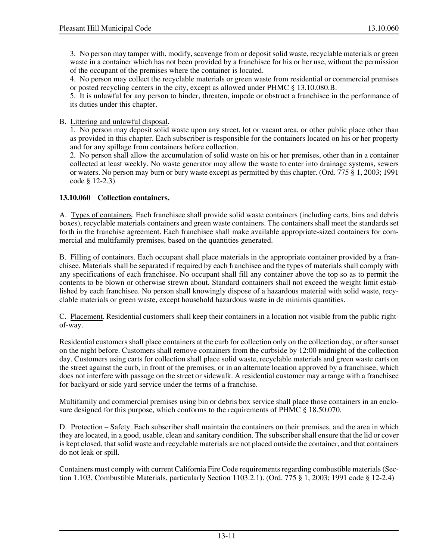4. No person may collect the recyclable materials or green waste from residential or commercial premises or posted recycling centers in the city, except as allowed under PHMC § 13.10.080.B.

5. It is unlawful for any person to hinder, threaten, impede or obstruct a franchisee in the performance of its duties under this chapter.

B. Littering and unlawful disposal.

1. No person may deposit solid waste upon any street, lot or vacant area, or other public place other than as provided in this chapter. Each subscriber is responsible for the containers located on his or her property and for any spillage from containers before collection.

2. No person shall allow the accumulation of solid waste on his or her premises, other than in a container collected at least weekly. No waste generator may allow the waste to enter into drainage systems, sewers or waters. No person may burn or bury waste except as permitted by this chapter. (Ord. 775 § 1, 2003; 1991 code § 12-2.3)

# **13.10.060 Collection containers.**

A. Types of containers. Each franchisee shall provide solid waste containers (including carts, bins and debris boxes), recyclable materials containers and green waste containers. The containers shall meet the standards set forth in the franchise agreement. Each franchisee shall make available appropriate-sized containers for commercial and multifamily premises, based on the quantities generated.

B. Filling of containers. Each occupant shall place materials in the appropriate container provided by a franchisee. Materials shall be separated if required by each franchisee and the types of materials shall comply with any specifications of each franchisee. No occupant shall fill any container above the top so as to permit the contents to be blown or otherwise strewn about. Standard containers shall not exceed the weight limit established by each franchisee. No person shall knowingly dispose of a hazardous material with solid waste, recyclable materials or green waste, except household hazardous waste in de minimis quantities.

C. Placement. Residential customers shall keep their containers in a location not visible from the public rightof-way.

Residential customers shall place containers at the curb for collection only on the collection day, or after sunset on the night before. Customers shall remove containers from the curbside by 12:00 midnight of the collection day. Customers using carts for collection shall place solid waste, recyclable materials and green waste carts on the street against the curb, in front of the premises, or in an alternate location approved by a franchisee, which does not interfere with passage on the street or sidewalk. A residential customer may arrange with a franchisee for backyard or side yard service under the terms of a franchise.

Multifamily and commercial premises using bin or debris box service shall place those containers in an enclosure designed for this purpose, which conforms to the requirements of PHMC  $\S$  18.50.070.

D. Protection – Safety. Each subscriber shall maintain the containers on their premises, and the area in which they are located, in a good, usable, clean and sanitary condition. The subscriber shall ensure that the lid or cover is kept closed, that solid waste and recyclable materials are not placed outside the container, and that containers do not leak or spill.

Containers must comply with current California Fire Code requirements regarding combustible materials (Section 1.103, Combustible Materials, particularly Section 1103.2.1). (Ord. 775 § 1, 2003; 1991 code § 12-2.4)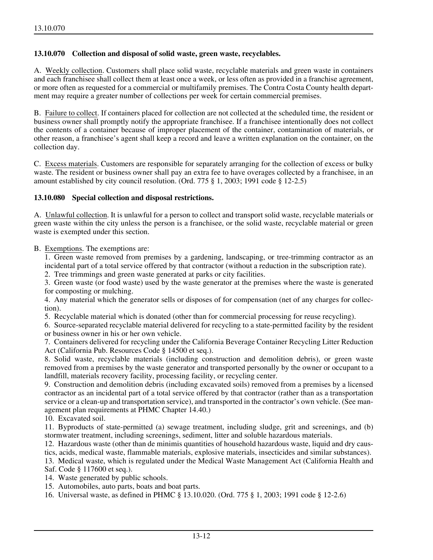### **13.10.070 Collection and disposal of solid waste, green waste, recyclables.**

A. Weekly collection. Customers shall place solid waste, recyclable materials and green waste in containers and each franchisee shall collect them at least once a week, or less often as provided in a franchise agreement, or more often as requested for a commercial or multifamily premises. The Contra Costa County health department may require a greater number of collections per week for certain commercial premises.

B. Failure to collect. If containers placed for collection are not collected at the scheduled time, the resident or business owner shall promptly notify the appropriate franchisee. If a franchisee intentionally does not collect the contents of a container because of improper placement of the container, contamination of materials, or other reason, a franchisee's agent shall keep a record and leave a written explanation on the container, on the collection day.

C. Excess materials. Customers are responsible for separately arranging for the collection of excess or bulky waste. The resident or business owner shall pay an extra fee to have overages collected by a franchisee, in an amount established by city council resolution. (Ord. 775 § 1, 2003; 1991 code § 12-2.5)

### **13.10.080 Special collection and disposal restrictions.**

A. Unlawful collection. It is unlawful for a person to collect and transport solid waste, recyclable materials or green waste within the city unless the person is a franchisee, or the solid waste, recyclable material or green waste is exempted under this section.

B. Exemptions. The exemptions are:

1. Green waste removed from premises by a gardening, landscaping, or tree-trimming contractor as an incidental part of a total service offered by that contractor (without a reduction in the subscription rate).

2. Tree trimmings and green waste generated at parks or city facilities.

3. Green waste (or food waste) used by the waste generator at the premises where the waste is generated for composting or mulching.

4. Any material which the generator sells or disposes of for compensation (net of any charges for collection).

5. Recyclable material which is donated (other than for commercial processing for reuse recycling).

6. Source-separated recyclable material delivered for recycling to a state-permitted facility by the resident or business owner in his or her own vehicle.

7. Containers delivered for recycling under the California Beverage Container Recycling Litter Reduction Act (California Pub. Resources Code § 14500 et seq.).

8. Solid waste, recyclable materials (including construction and demolition debris), or green waste removed from a premises by the waste generator and transported personally by the owner or occupant to a landfill, materials recovery facility, processing facility, or recycling center.

9. Construction and demolition debris (including excavated soils) removed from a premises by a licensed contractor as an incidental part of a total service offered by that contractor (rather than as a transportation service or a clean-up and transportation service), and transported in the contractor's own vehicle. (See management plan requirements at PHMC Chapter 14.40.)

10. Excavated soil.

11. Byproducts of state-permitted (a) sewage treatment, including sludge, grit and screenings, and (b) stormwater treatment, including screenings, sediment, litter and soluble hazardous materials.

12. Hazardous waste (other than de minimis quantities of household hazardous waste, liquid and dry caustics, acids, medical waste, flammable materials, explosive materials, insecticides and similar substances).

13. Medical waste, which is regulated under the Medical Waste Management Act (California Health and Saf. Code § 117600 et seq.).

14. Waste generated by public schools.

15. Automobiles, auto parts, boats and boat parts.

16. Universal waste, as defined in PHMC § 13.10.020. (Ord. 775 § 1, 2003; 1991 code § 12-2.6)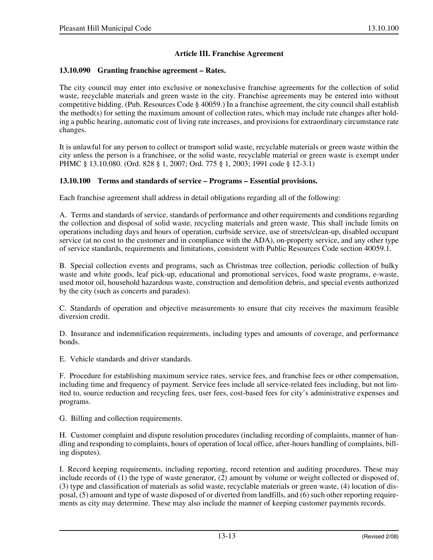## **Article III. Franchise Agreement**

#### **13.10.090 Granting franchise agreement – Rates.**

The city council may enter into exclusive or nonexclusive franchise agreements for the collection of solid waste, recyclable materials and green waste in the city. Franchise agreements may be entered into without competitive bidding. (Pub. Resources Code § 40059.) In a franchise agreement, the city council shall establish the method(s) for setting the maximum amount of collection rates, which may include rate changes after holding a public hearing, automatic cost of living rate increases, and provisions for extraordinary circumstance rate changes.

It is unlawful for any person to collect or transport solid waste, recyclable materials or green waste within the city unless the person is a franchisee, or the solid waste, recyclable material or green waste is exempt under PHMC § 13.10.080. (Ord. 828 § 1, 2007; Ord. 775 § 1, 2003; 1991 code § 12-3.1)

### **13.10.100 Terms and standards of service – Programs – Essential provisions.**

Each franchise agreement shall address in detail obligations regarding all of the following:

A. Terms and standards of service, standards of performance and other requirements and conditions regarding the collection and disposal of solid waste, recycling materials and green waste. This shall include limits on operations including days and hours of operation, curbside service, use of streets/clean-up, disabled occupant service (at no cost to the customer and in compliance with the ADA), on-property service, and any other type of service standards, requirements and limitations, consistent with Public Resources Code section 40059.1.

B. Special collection events and programs, such as Christmas tree collection, periodic collection of bulky waste and white goods, leaf pick-up, educational and promotional services, food waste programs, e-waste, used motor oil, household hazardous waste, construction and demolition debris, and special events authorized by the city (such as concerts and parades).

C. Standards of operation and objective measurements to ensure that city receives the maximum feasible diversion credit.

D. Insurance and indemnification requirements, including types and amounts of coverage, and performance bonds.

E. Vehicle standards and driver standards.

F. Procedure for establishing maximum service rates, service fees, and franchise fees or other compensation, including time and frequency of payment. Service fees include all service-related fees including, but not limited to, source reduction and recycling fees, user fees, cost-based fees for city's administrative expenses and programs.

G. Billing and collection requirements.

H. Customer complaint and dispute resolution procedures (including recording of complaints, manner of handling and responding to complaints, hours of operation of local office, after-hours handling of complaints, billing disputes).

I. Record keeping requirements, including reporting, record retention and auditing procedures. These may include records of (1) the type of waste generator, (2) amount by volume or weight collected or disposed of, (3) type and classification of materials as solid waste, recyclable materials or green waste, (4) location of disposal, (5) amount and type of waste disposed of or diverted from landfills, and (6) such other reporting requirements as city may determine. These may also include the manner of keeping customer payments records.